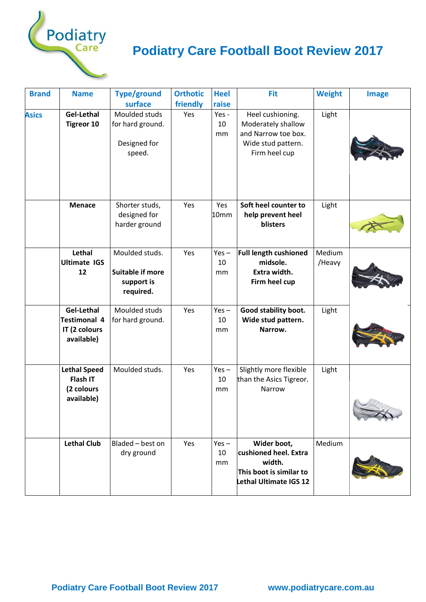

## **Podiatry Care Football Boot Review 2017**

| <b>Brand</b> | <b>Name</b>                                                      | <b>Type/ground</b><br>surface                                        | <b>Orthotic</b><br>friendly | <b>Heel</b><br>raise | <b>Fit</b>                                                                                           | <b>Weight</b>    | <b>Image</b> |
|--------------|------------------------------------------------------------------|----------------------------------------------------------------------|-----------------------------|----------------------|------------------------------------------------------------------------------------------------------|------------------|--------------|
| <b>Asics</b> | Gel-Lethal<br><b>Tigreor 10</b>                                  | Moulded studs<br>for hard ground.<br>Designed for<br>speed.          | Yes                         | Yes -<br>10<br>mm    | Heel cushioning.<br>Moderately shallow<br>and Narrow toe box.<br>Wide stud pattern.<br>Firm heel cup | Light            |              |
|              | <b>Menace</b>                                                    | Shorter studs,<br>designed for<br>harder ground                      | Yes                         | Yes<br>10mm          | Soft heel counter to<br>help prevent heel<br>blisters                                                | Light            |              |
|              | Lethal<br><b>Ultimate IGS</b><br>12                              | Moulded studs.<br><b>Suitable if more</b><br>support is<br>required. | Yes                         | $Yes -$<br>10<br>mm  | <b>Full length cushioned</b><br>midsole.<br>Extra width.<br>Firm heel cup                            | Medium<br>/Heavy |              |
|              | Gel-Lethal<br><b>Testimonal 4</b><br>IT (2 colours<br>available) | Moulded studs<br>for hard ground.                                    | Yes                         | $Yes -$<br>10<br>mm  | Good stability boot.<br>Wide stud pattern.<br>Narrow.                                                | Light            |              |
|              | <b>Lethal Speed</b><br>Flash IT<br>(2 colours<br>available)      | Moulded studs.                                                       | Yes                         | $Yes -$<br>10<br>mm  | Slightly more flexible<br>than the Asics Tigreor.<br>Narrow                                          | Light            |              |
|              | <b>Lethal Club</b>                                               | Bladed - best on<br>dry ground                                       | Yes                         | $Yes -$<br>10<br>mm  | Wider boot,<br>cushioned heel. Extra<br>width.<br>This boot is similar to<br>Lethal Ultimate IGS 12  | Medium           |              |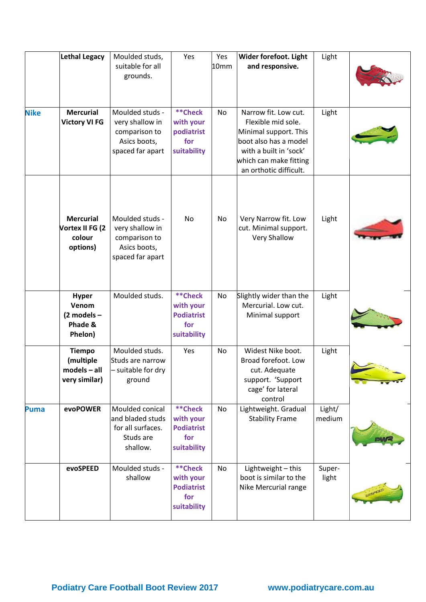|             | <b>Lethal Legacy</b>                                          | Moulded studs,<br>suitable for all<br>grounds.                                          | Yes                                                                    | Yes<br>10mm | Wider forefoot. Light<br>and responsive.                                                                                                                                   | Light            |  |
|-------------|---------------------------------------------------------------|-----------------------------------------------------------------------------------------|------------------------------------------------------------------------|-------------|----------------------------------------------------------------------------------------------------------------------------------------------------------------------------|------------------|--|
| <b>Nike</b> | <b>Mercurial</b><br><b>Victory VI FG</b>                      | Moulded studs -<br>very shallow in<br>comparison to<br>Asics boots,<br>spaced far apart | **Check<br>with your<br>podiatrist<br>for<br>suitability               | No          | Narrow fit. Low cut.<br>Flexible mid sole.<br>Minimal support. This<br>boot also has a model<br>with a built in 'sock'<br>which can make fitting<br>an orthotic difficult. | Light            |  |
|             | <b>Mercurial</b><br>Vortex II FG (2<br>colour<br>options)     | Moulded studs -<br>very shallow in<br>comparison to<br>Asics boots,<br>spaced far apart | No                                                                     | No          | Very Narrow fit. Low<br>cut. Minimal support.<br><b>Very Shallow</b>                                                                                                       | Light            |  |
|             | <b>Hyper</b><br>Venom<br>$(2$ models -<br>Phade &<br>Phelon)  | Moulded studs.                                                                          | <b>**Check</b><br>with your<br><b>Podiatrist</b><br>for<br>suitability | No          | Slightly wider than the<br>Mercurial. Low cut.<br>Minimal support                                                                                                          | Light            |  |
|             | <b>Tiempo</b><br>(multiple<br>$models - all$<br>very similar) | Moulded studs.<br>Studs are narrow<br>- suitable for dry<br>ground                      | Yes                                                                    | No          | Widest Nike boot.<br>Broad forefoot. Low<br>cut. Adequate<br>support. 'Support<br>cage' for lateral<br>control                                                             | Light            |  |
| <b>Puma</b> | evoPOWER                                                      | Moulded conical<br>and bladed studs<br>for all surfaces.<br>Studs are<br>shallow.       | <b>**Check</b><br>with your<br><b>Podiatrist</b><br>for<br>suitability | No          | Lightweight. Gradual<br><b>Stability Frame</b>                                                                                                                             | Light/<br>medium |  |
|             | evoSPEED                                                      | Moulded studs -<br>shallow                                                              | **Check<br>with your<br><b>Podiatrist</b><br>for<br>suitability        | No          | Lightweight - this<br>boot is similar to the<br>Nike Mercurial range                                                                                                       | Super-<br>light  |  |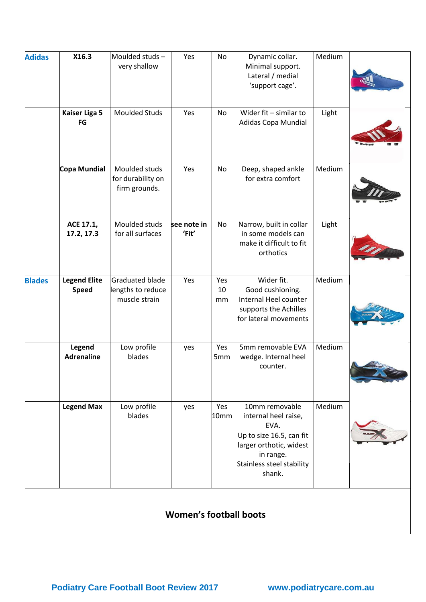| <b>Adidas</b> | X16.3                               | Moulded studs-<br>very shallow                        | Yes                           | No              | Dynamic collar.<br>Minimal support.<br>Lateral / medial<br>'support cage'.                                                                                | Medium |  |
|---------------|-------------------------------------|-------------------------------------------------------|-------------------------------|-----------------|-----------------------------------------------------------------------------------------------------------------------------------------------------------|--------|--|
|               | <b>Kaiser Liga 5</b><br>FG          | Moulded Studs                                         | Yes                           | No              | Wider fit $-$ similar to<br><b>Adidas Copa Mundial</b>                                                                                                    | Light  |  |
|               | Copa Mundial                        | Moulded studs<br>for durability on<br>firm grounds.   | Yes                           | No              | Deep, shaped ankle<br>for extra comfort                                                                                                                   | Medium |  |
|               | ACE 17.1,<br>17.2, 17.3             | Moulded studs<br>for all surfaces                     | see note in<br>'Fit'          | No              | Narrow, built in collar<br>in some models can<br>make it difficult to fit<br>orthotics                                                                    | Light  |  |
| <b>Blades</b> | <b>Legend Elite</b><br><b>Speed</b> | Graduated blade<br>lengths to reduce<br>muscle strain | Yes                           | Yes<br>10<br>mm | Wider fit.<br>Good cushioning.<br>Internal Heel counter<br>supports the Achilles<br>for lateral movements                                                 | Medium |  |
|               | Legend<br><b>Adrenaline</b>         | Low profile<br>blades                                 | yes                           | Yes<br>5mm      | 5mm removable EVA<br>wedge. Internal heel<br>counter.                                                                                                     | Medium |  |
|               | <b>Legend Max</b>                   | Low profile<br>blades                                 | yes                           | Yes<br>10mm     | 10mm removable<br>internal heel raise,<br>EVA.<br>Up to size 16.5, can fit<br>larger orthotic, widest<br>in range.<br>Stainless steel stability<br>shank. | Medium |  |
|               |                                     |                                                       | <b>Women's football boots</b> |                 |                                                                                                                                                           |        |  |